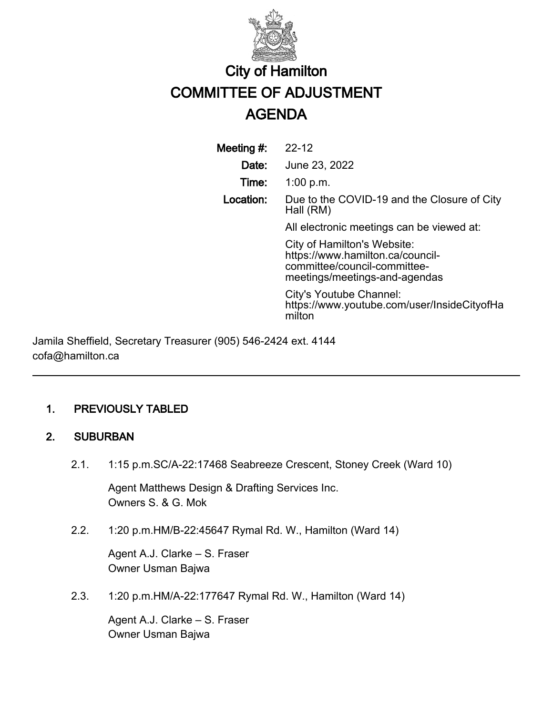

# City of Hamilton COMMITTEE OF ADJUSTMENT AGENDA

Meeting #: 22-12 Date: June 23, 2022 Time: 1:00 p.m. Location: Due to the COVID-19 and the Closure of City Hall (RM) All electronic meetings can be viewed at: City of Hamilton's Website: https://www.hamilton.ca/councilcommittee/council-committeemeetings/meetings-and-agendas City's Youtube Channel: https://www.youtube.com/user/InsideCityofHa milton

Jamila Sheffield, Secretary Treasurer (905) 546-2424 ext. 4144 cofa@hamilton.ca

## 1. PREVIOUSLY TABLED

## 2. SUBURBAN

2.1. 1:15 p.m.SC/A-22:17468 Seabreeze Crescent, Stoney Creek (Ward 10)

Agent Matthews Design & Drafting Services Inc. Owners S. & G. Mok

2.2. 1:20 p.m.HM/B-22:45647 Rymal Rd. W., Hamilton (Ward 14)

Agent A.J. Clarke – S. Fraser Owner Usman Bajwa

2.3. 1:20 p.m.HM/A-22:177647 Rymal Rd. W., Hamilton (Ward 14)

Agent A.J. Clarke – S. Fraser Owner Usman Bajwa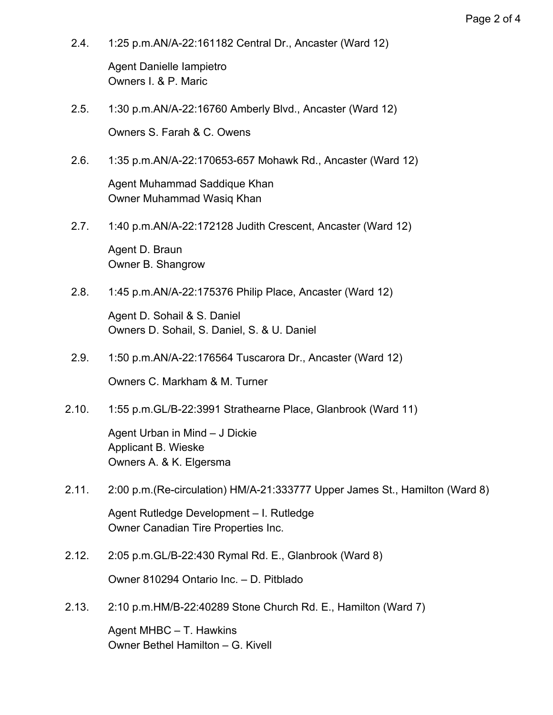2.4. 1:25 p.m.AN/A-22:161182 Central Dr., Ancaster (Ward 12)

Agent Danielle Iampietro Owners I. & P. Maric

- 2.5. 1:30 p.m.AN/A-22:16760 Amberly Blvd., Ancaster (Ward 12) Owners S. Farah & C. Owens
- 2.6. 1:35 p.m.AN/A-22:170653-657 Mohawk Rd., Ancaster (Ward 12)

Agent Muhammad Saddique Khan Owner Muhammad Wasiq Khan

2.7. 1:40 p.m.AN/A-22:172128 Judith Crescent, Ancaster (Ward 12)

Agent D. Braun Owner B. Shangrow

2.8. 1:45 p.m.AN/A-22:175376 Philip Place, Ancaster (Ward 12)

Agent D. Sohail & S. Daniel Owners D. Sohail, S. Daniel, S. & U. Daniel

- 2.9. 1:50 p.m.AN/A-22:176564 Tuscarora Dr., Ancaster (Ward 12) Owners C. Markham & M. Turner
- 2.10. 1:55 p.m.GL/B-22:3991 Strathearne Place, Glanbrook (Ward 11)

Agent Urban in Mind – J Dickie Applicant B. Wieske Owners A. & K. Elgersma

2.11. 2:00 p.m.(Re-circulation) HM/A-21:333777 Upper James St., Hamilton (Ward 8)

Agent Rutledge Development – I. Rutledge Owner Canadian Tire Properties Inc.

2.12. 2:05 p.m.GL/B-22:430 Rymal Rd. E., Glanbrook (Ward 8)

Owner 810294 Ontario Inc. – D. Pitblado

2.13. 2:10 p.m.HM/B-22:40289 Stone Church Rd. E., Hamilton (Ward 7)

Agent MHBC – T. Hawkins Owner Bethel Hamilton – G. Kivell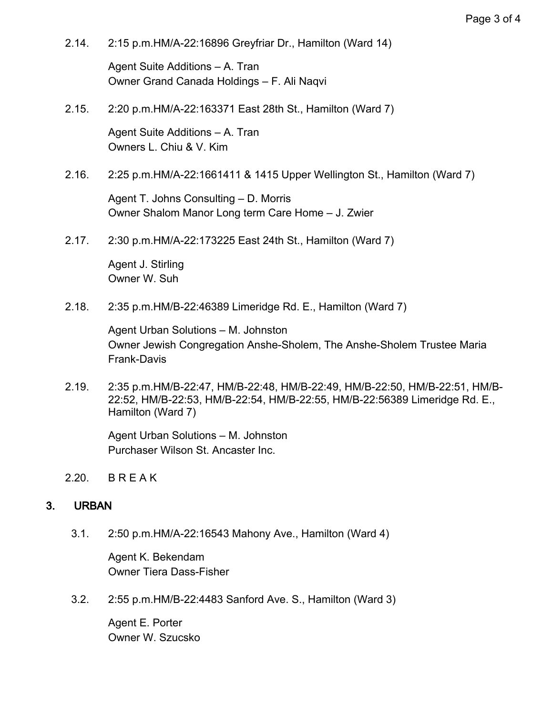2.14. 2:15 p.m.HM/A-22:16896 Greyfriar Dr., Hamilton (Ward 14)

Agent Suite Additions – A. Tran Owner Grand Canada Holdings – F. Ali Naqvi

2.15. 2:20 p.m.HM/A-22:163371 East 28th St., Hamilton (Ward 7)

Agent Suite Additions – A. Tran Owners L. Chiu & V. Kim

2.16. 2:25 p.m.HM/A-22:1661411 & 1415 Upper Wellington St., Hamilton (Ward 7)

Agent T. Johns Consulting – D. Morris Owner Shalom Manor Long term Care Home – J. Zwier

2.17. 2:30 p.m.HM/A-22:173225 East 24th St., Hamilton (Ward 7)

Agent J. Stirling Owner W. Suh

2.18. 2:35 p.m.HM/B-22:46389 Limeridge Rd. E., Hamilton (Ward 7)

Agent Urban Solutions – M. Johnston Owner Jewish Congregation Anshe-Sholem, The Anshe-Sholem Trustee Maria Frank-Davis

2.19. 2:35 p.m.HM/B-22:47, HM/B-22:48, HM/B-22:49, HM/B-22:50, HM/B-22:51, HM/B-22:52, HM/B-22:53, HM/B-22:54, HM/B-22:55, HM/B-22:56389 Limeridge Rd. E., Hamilton (Ward 7)

Agent Urban Solutions – M. Johnston Purchaser Wilson St. Ancaster Inc.

2.20. B R E A K

## 3. URBAN

3.1. 2:50 p.m.HM/A-22:16543 Mahony Ave., Hamilton (Ward 4)

Agent K. Bekendam Owner Tiera Dass-Fisher

3.2. 2:55 p.m.HM/B-22:4483 Sanford Ave. S., Hamilton (Ward 3)

Agent E. Porter Owner W. Szucsko